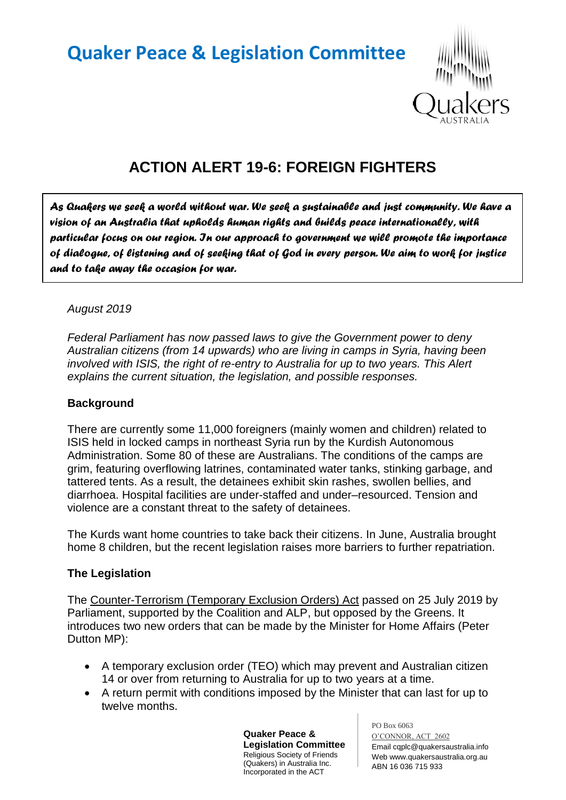# **Quaker Peace & Legislation Committee**



# **ACTION ALERT 19-6: FOREIGN FIGHTERS**

*As Quakers we seek a world without war. We seek a sustainable and just community. We have a vision of an Australia that upholds human rights and builds peace internationally, with particular focus on our region. In our approach to government we will promote the importance of dialogue, of listening and of seeking that of God in every person. We aim to work for justice and to take away the occasion for war.* 

### *August 2019*

*Federal Parliament has now passed laws to give the Government power to deny Australian citizens (from 14 upwards) who are living in camps in Syria, having been involved with ISIS, the right of re-entry to Australia for up to two years. This Alert explains the current situation, the legislation, and possible responses.*

#### **Background**

There are currently some 11,000 foreigners (mainly women and children) related to ISIS held in locked camps in northeast Syria run by the Kurdish Autonomous Administration. Some 80 of these are Australians. The conditions of the camps are grim, featuring overflowing latrines, contaminated water tanks, stinking garbage, and tattered tents. As a result, the detainees exhibit skin rashes, swollen bellies, and diarrhoea. Hospital facilities are under-staffed and under–resourced. Tension and violence are a constant threat to the safety of detainees.

The Kurds want home countries to take back their citizens. In June, Australia brought home 8 children, but the recent legislation raises more barriers to further repatriation.

#### **The Legislation**

The Counter-Terrorism (Temporary Exclusion Orders) Act passed on 25 July 2019 by Parliament, supported by the Coalition and ALP, but opposed by the Greens. It introduces two new orders that can be made by the Minister for Home Affairs (Peter Dutton MP):

- A temporary exclusion order (TEO) which may prevent and Australian citizen 14 or over from returning to Australia for up to two years at a time.
- A return permit with conditions imposed by the Minister that can last for up to twelve months.

**Quaker Peace & Legislation Committee** Religious Society of Friends (Quakers) in Australia Inc. Incorporated in the ACT

PO Box 6063

O'CONNOR, ACT 2602 Email cqplc@quakersaustralia.info Web www.quakersaustralia.org.au ABN 16 036 715 933